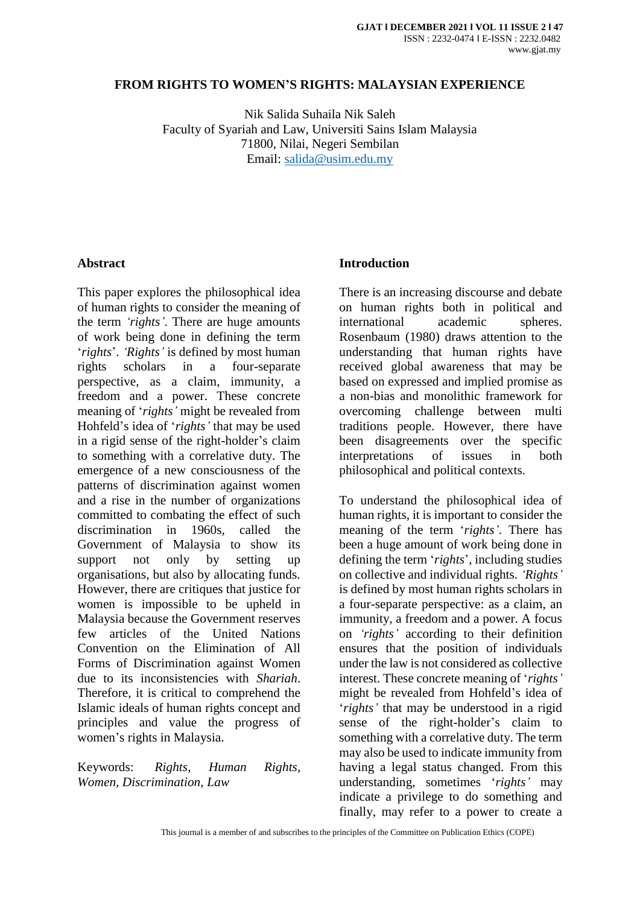#### **FROM RIGHTS TO WOMEN'S RIGHTS: MALAYSIAN EXPERIENCE**

Nik Salida Suhaila Nik Saleh Faculty of Syariah and Law, Universiti Sains Islam Malaysia 71800, Nilai, Negeri Sembilan Email: [salida@usim.edu.my](mailto:salida@usim.edu.my)

#### **Abstract**

This paper explores the philosophical idea of human rights to consider the meaning of the term *'rights'*. There are huge amounts of work being done in defining the term '*rights*'. *'Rights'* is defined by most human rights scholars in a four-separate perspective, as a claim, immunity, a freedom and a power. These concrete meaning of '*rights'* might be revealed from Hohfeld's idea of '*rights'* that may be used in a rigid sense of the right-holder's claim to something with a correlative duty. The emergence of a new consciousness of the patterns of discrimination against women and a rise in the number of organizations committed to combating the effect of such discrimination in 1960s, called the Government of Malaysia to show its support not only by setting up organisations, but also by allocating funds. However, there are critiques that justice for women is impossible to be upheld in Malaysia because the Government reserves few articles of the United Nations Convention on the Elimination of All Forms of Discrimination against Women due to its inconsistencies with *Shariah*. Therefore, it is critical to comprehend the Islamic ideals of human rights concept and principles and value the progress of women's rights in Malaysia.

Keywords: *Rights, Human Rights, Women, Discrimination, Law*

### **Introduction**

There is an increasing discourse and debate on human rights both in political and international academic spheres. Rosenbaum (1980) draws attention to the understanding that human rights have received global awareness that may be based on expressed and implied promise as a non-bias and monolithic framework for overcoming challenge between multi traditions people. However, there have been disagreements over the specific interpretations of issues in both philosophical and political contexts.

To understand the philosophical idea of human rights, it is important to consider the meaning of the term '*rights'*. There has been a huge amount of work being done in defining the term '*rights*', including studies on collective and individual rights. *'Rights'* is defined by most human rights scholars in a four-separate perspective: as a claim, an immunity, a freedom and a power. A focus on *'rights'* according to their definition ensures that the position of individuals under the law is not considered as collective interest. These concrete meaning of '*rights'* might be revealed from Hohfeld's idea of '*rights'* that may be understood in a rigid sense of the right-holder's claim to something with a correlative duty. The term may also be used to indicate immunity from having a legal status changed. From this understanding, sometimes '*rights'* may indicate a privilege to do something and finally, may refer to a power to create a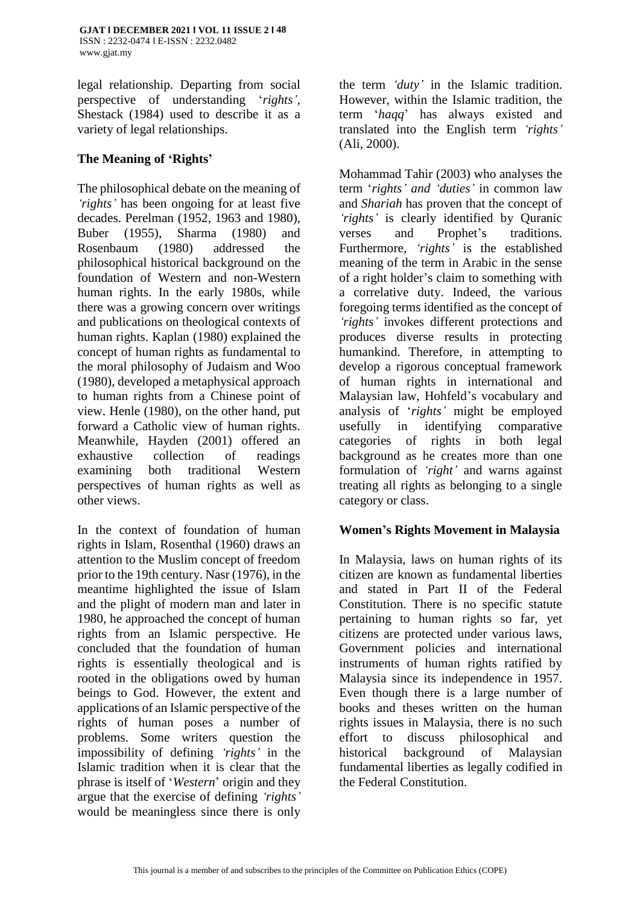legal relationship. Departing from social perspective of understanding '*rights',* Shestack (1984) used to describe it as a variety of legal relationships.

## **The Meaning of 'Rights'**

The philosophical debate on the meaning of *'rights'* has been ongoing for at least five decades. Perelman (1952, 1963 and 1980), Buber (1955), Sharma (1980) and Rosenbaum (1980) addressed the philosophical historical background on the foundation of Western and non-Western human rights. In the early 1980s, while there was a growing concern over writings and publications on theological contexts of human rights. Kaplan (1980) explained the concept of human rights as fundamental to the moral philosophy of Judaism and Woo (1980), developed a metaphysical approach to human rights from a Chinese point of view. Henle (1980), on the other hand, put forward a Catholic view of human rights. Meanwhile, Hayden (2001) offered an exhaustive collection of readings examining both traditional Western perspectives of human rights as well as other views.

In the context of foundation of human rights in Islam, Rosenthal (1960) draws an attention to the Muslim concept of freedom prior to the 19th century. Nasr (1976), in the meantime highlighted the issue of Islam and the plight of modern man and later in 1980, he approached the concept of human rights from an Islamic perspective. He concluded that the foundation of human rights is essentially theological and is rooted in the obligations owed by human beings to God. However, the extent and applications of an Islamic perspective of the rights of human poses a number of problems. Some writers question the impossibility of defining *'rights'* in the Islamic tradition when it is clear that the phrase is itself of '*Western*' origin and they argue that the exercise of defining *'rights'* would be meaningless since there is only the term *'duty'* in the Islamic tradition. However, within the Islamic tradition, the term '*haqq*' has always existed and translated into the English term *'rights'* (Ali, 2000).

Mohammad Tahir (2003) who analyses the term '*rights' and 'duties'* in common law and *Shariah* has proven that the concept of *'rights'* is clearly identified by Quranic verses and Prophet's traditions. Furthermore*, 'rights'* is the established meaning of the term in Arabic in the sense of a right holder's claim to something with a correlative duty. Indeed, the various foregoing terms identified as the concept of *'rights'* invokes different protections and produces diverse results in protecting humankind. Therefore, in attempting to develop a rigorous conceptual framework of human rights in international and Malaysian law, Hohfeld's vocabulary and analysis of '*rights'* might be employed usefully in identifying comparative categories of rights in both legal background as he creates more than one formulation of *'right'* and warns against treating all rights as belonging to a single category or class.

## **Women's Rights Movement in Malaysia**

In Malaysia, laws on human rights of its citizen are known as fundamental liberties and stated in Part II of the Federal Constitution. There is no specific statute pertaining to human rights so far, yet citizens are protected under various laws, Government policies and international instruments of human rights ratified by Malaysia since its independence in 1957. Even though there is a large number of books and theses written on the human rights issues in Malaysia, there is no such effort to discuss philosophical and historical background of Malaysian fundamental liberties as legally codified in the Federal Constitution.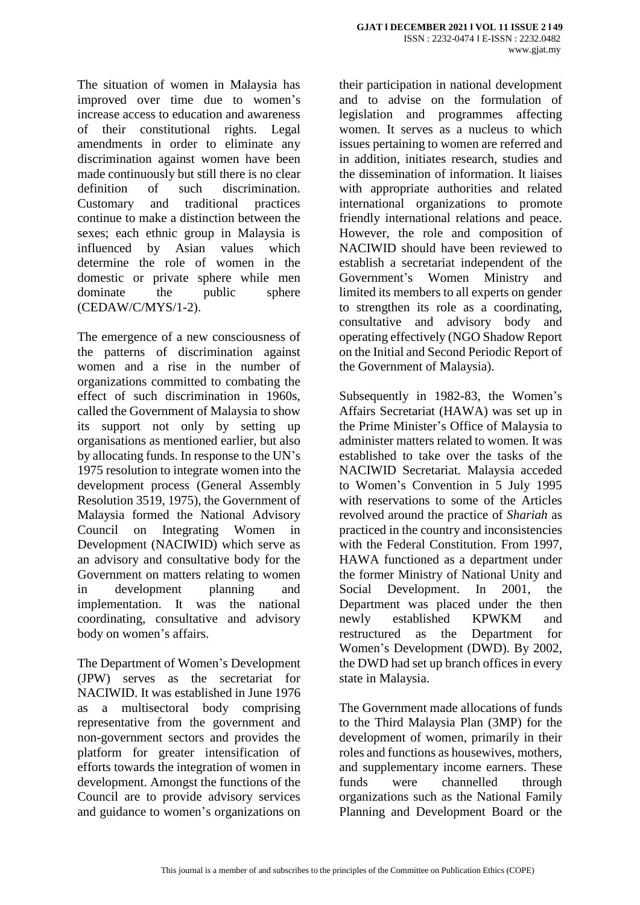The situation of women in Malaysia has improved over time due to women's increase access to education and awareness of their constitutional rights. Legal amendments in order to eliminate any discrimination against women have been made continuously but still there is no clear definition of such discrimination. Customary and traditional practices continue to make a distinction between the sexes; each ethnic group in Malaysia is influenced by Asian values which determine the role of women in the domestic or private sphere while men dominate the public sphere (CEDAW/C/MYS/1-2).

The emergence of a new consciousness of the patterns of discrimination against women and a rise in the number of organizations committed to combating the effect of such discrimination in 1960s, called the Government of Malaysia to show its support not only by setting up organisations as mentioned earlier, but also by allocating funds. In response to the UN's 1975 resolution to integrate women into the development process (General Assembly Resolution 3519, 1975), the Government of Malaysia formed the National Advisory Council on Integrating Women in Development (NACIWID) which serve as an advisory and consultative body for the Government on matters relating to women in development planning and implementation. It was the national coordinating, consultative and advisory body on women's affairs.

The Department of Women's Development (JPW) serves as the secretariat for NACIWID. It was established in June 1976 as a multisectoral body comprising representative from the government and non-government sectors and provides the platform for greater intensification of efforts towards the integration of women in development. Amongst the functions of the Council are to provide advisory services and guidance to women's organizations on

their participation in national development and to advise on the formulation of legislation and programmes affecting women. It serves as a nucleus to which issues pertaining to women are referred and in addition, initiates research, studies and the dissemination of information. It liaises with appropriate authorities and related international organizations to promote friendly international relations and peace. However, the role and composition of NACIWID should have been reviewed to establish a secretariat independent of the Government's Women Ministry and limited its members to all experts on gender to strengthen its role as a coordinating, consultative and advisory body and operating effectively (NGO Shadow Report on the Initial and Second Periodic Report of the Government of Malaysia).

Subsequently in 1982-83, the Women's Affairs Secretariat (HAWA) was set up in the Prime Minister's Office of Malaysia to administer matters related to women. It was established to take over the tasks of the NACIWID Secretariat. Malaysia acceded to Women's Convention in 5 July 1995 with reservations to some of the Articles revolved around the practice of *Shariah* as practiced in the country and inconsistencies with the Federal Constitution. From 1997, HAWA functioned as a department under the former Ministry of National Unity and Social Development. In 2001, the Department was placed under the then newly established KPWKM and restructured as the Department for Women's Development (DWD). By 2002, the DWD had set up branch offices in every state in Malaysia.

The Government made allocations of funds to the Third Malaysia Plan (3MP) for the development of women, primarily in their roles and functions as housewives, mothers, and supplementary income earners. These funds were channelled through organizations such as the National Family Planning and Development Board or the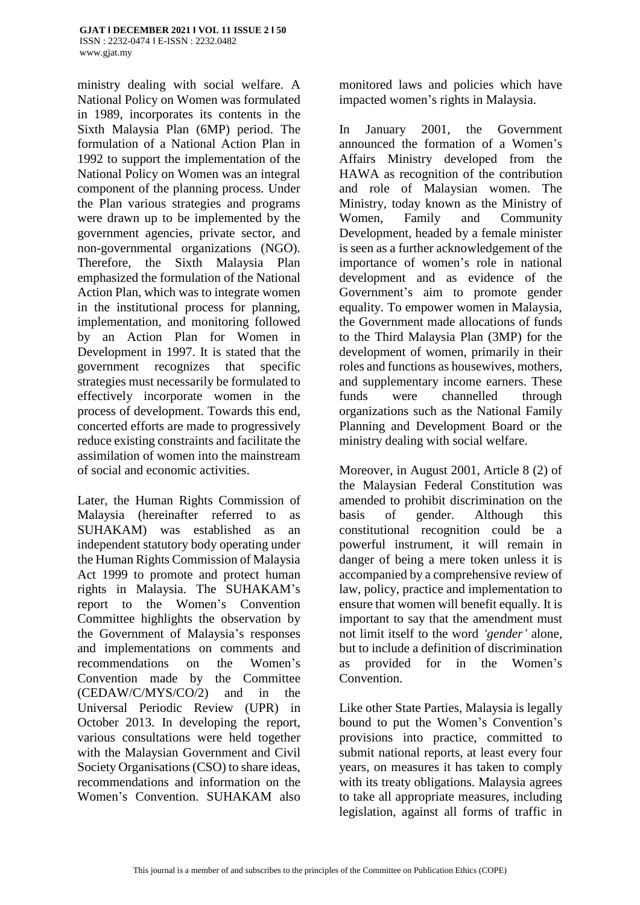ministry dealing with social welfare. A National Policy on Women was formulated in 1989, incorporates its contents in the Sixth Malaysia Plan (6MP) period. The formulation of a National Action Plan in 1992 to support the implementation of the National Policy on Women was an integral component of the planning process. Under the Plan various strategies and programs were drawn up to be implemented by the government agencies, private sector, and non-governmental organizations (NGO). Therefore, the Sixth Malaysia Plan emphasized the formulation of the National Action Plan, which was to integrate women in the institutional process for planning, implementation, and monitoring followed by an Action Plan for Women in Development in 1997. It is stated that the government recognizes that specific strategies must necessarily be formulated to effectively incorporate women in the process of development. Towards this end, concerted efforts are made to progressively reduce existing constraints and facilitate the assimilation of women into the mainstream of social and economic activities.

Later, the Human Rights Commission of Malaysia (hereinafter referred to as SUHAKAM) was established as an independent statutory body operating under the Human Rights Commission of Malaysia Act 1999 to promote and protect human rights in Malaysia. The SUHAKAM's report to the Women's Convention Committee highlights the observation by the Government of Malaysia's responses and implementations on comments and recommendations on the Women's Convention made by the Committee (CEDAW/C/MYS/CO/2) and in the Universal Periodic Review (UPR) in October 2013. In developing the report, various consultations were held together with the Malaysian Government and Civil Society Organisations (CSO) to share ideas, recommendations and information on the Women's Convention. SUHAKAM also

monitored laws and policies which have impacted women's rights in Malaysia.

In January 2001, the Government announced the formation of a Women's Affairs Ministry developed from the HAWA as recognition of the contribution and role of Malaysian women. The Ministry, today known as the Ministry of Women, Family and Community Development, headed by a female minister is seen as a further acknowledgement of the importance of women's role in national development and as evidence of the Government's aim to promote gender equality. To empower women in Malaysia, the Government made allocations of funds to the Third Malaysia Plan (3MP) for the development of women, primarily in their roles and functions as housewives, mothers, and supplementary income earners. These funds were channelled through organizations such as the National Family Planning and Development Board or the ministry dealing with social welfare.

Moreover, in August 2001, Article 8 (2) of the Malaysian Federal Constitution was amended to prohibit discrimination on the basis of gender. Although this constitutional recognition could be a powerful instrument, it will remain in danger of being a mere token unless it is accompanied by a comprehensive review of law, policy, practice and implementation to ensure that women will benefit equally. It is important to say that the amendment must not limit itself to the word *'gender'* alone, but to include a definition of discrimination as provided for in the Women's Convention.

Like other State Parties, Malaysia is legally bound to put the Women's Convention's provisions into practice, committed to submit national reports, at least every four years, on measures it has taken to comply with its treaty obligations. Malaysia agrees to take all appropriate measures, including legislation, against all forms of traffic in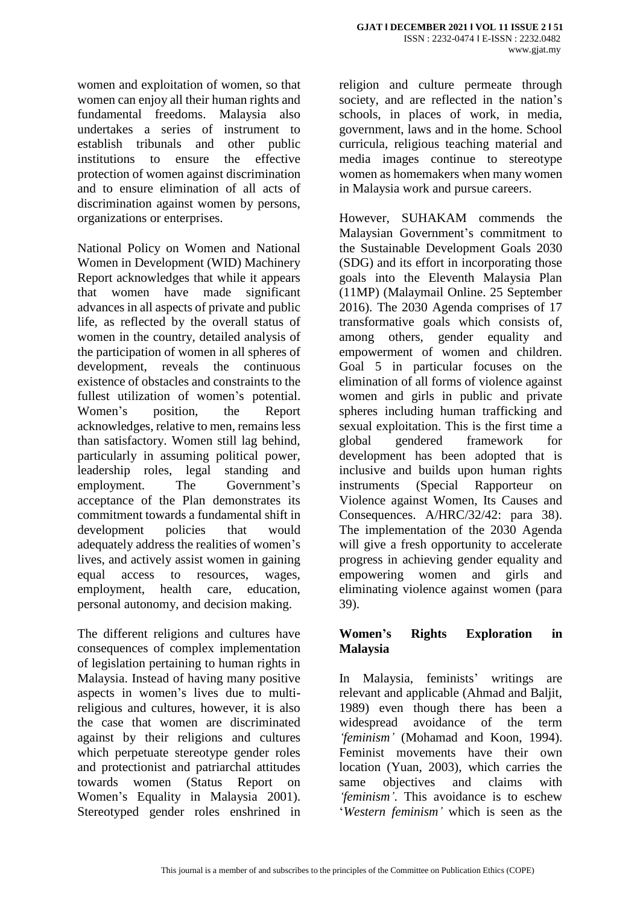women and exploitation of women, so that women can enjoy all their human rights and fundamental freedoms. Malaysia also undertakes a series of instrument to establish tribunals and other public institutions to ensure the effective protection of women against discrimination and to ensure elimination of all acts of discrimination against women by persons, organizations or enterprises.

National Policy on Women and National Women in Development (WID) Machinery Report acknowledges that while it appears that women have made significant advances in all aspects of private and public life, as reflected by the overall status of women in the country, detailed analysis of the participation of women in all spheres of development, reveals the continuous existence of obstacles and constraints to the fullest utilization of women's potential. Women's position, the Report acknowledges, relative to men, remains less than satisfactory. Women still lag behind, particularly in assuming political power, leadership roles, legal standing and employment. The Government's acceptance of the Plan demonstrates its commitment towards a fundamental shift in development policies that would adequately address the realities of women's lives, and actively assist women in gaining equal access to resources, wages, employment, health care, education, personal autonomy, and decision making.

The different religions and cultures have consequences of complex implementation of legislation pertaining to human rights in Malaysia. Instead of having many positive aspects in women's lives due to multireligious and cultures, however, it is also the case that women are discriminated against by their religions and cultures which perpetuate stereotype gender roles and protectionist and patriarchal attitudes towards women (Status Report on Women's Equality in Malaysia 2001). Stereotyped gender roles enshrined in

religion and culture permeate through society, and are reflected in the nation's schools, in places of work, in media, government, laws and in the home. School curricula, religious teaching material and media images continue to stereotype women as homemakers when many women in Malaysia work and pursue careers.

However, SUHAKAM commends the Malaysian Government's commitment to the Sustainable Development Goals 2030 (SDG) and its effort in incorporating those goals into the Eleventh Malaysia Plan (11MP) (Malaymail Online. 25 September 2016). The 2030 Agenda comprises of 17 transformative goals which consists of, among others, gender equality and empowerment of women and children. Goal 5 in particular focuses on the elimination of all forms of violence against women and girls in public and private spheres including human trafficking and sexual exploitation. This is the first time a global gendered framework for development has been adopted that is inclusive and builds upon human rights instruments (Special Rapporteur on Violence against Women, Its Causes and Consequences. A/HRC/32/42: para 38). The implementation of the 2030 Agenda will give a fresh opportunity to accelerate progress in achieving gender equality and empowering women and girls and eliminating violence against women (para 39).

## **Women's Rights Exploration in Malaysia**

In Malaysia, feminists' writings are relevant and applicable (Ahmad and Baljit, 1989) even though there has been a widespread avoidance of the term *'feminism'* (Mohamad and Koon, 1994). Feminist movements have their own location (Yuan, 2003), which carries the same objectives and claims with *'feminism'*. This avoidance is to eschew '*Western feminism'* which is seen as the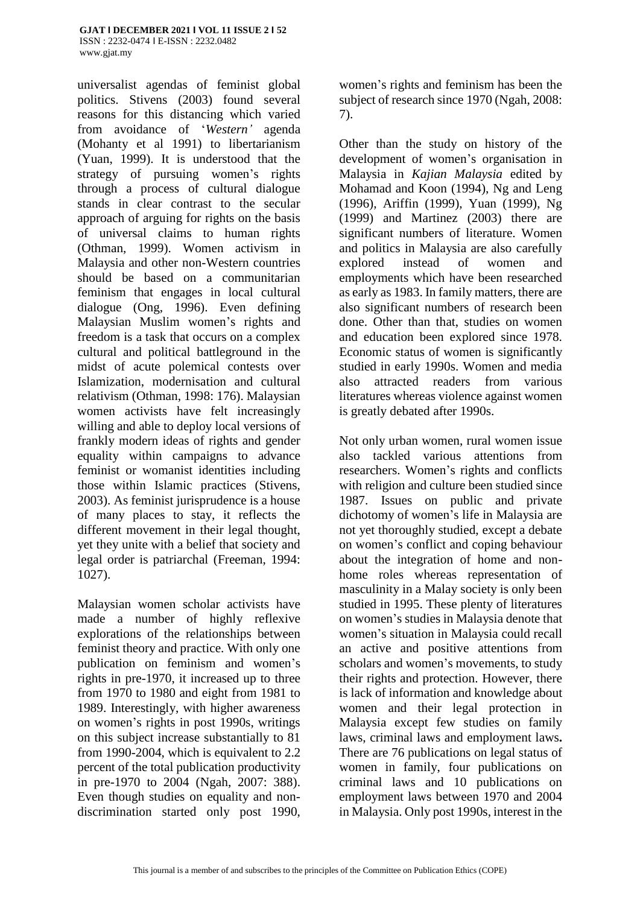[www.gjat.my](http://www.gjat.my/)

universalist agendas of feminist global politics. Stivens (2003) found several reasons for this distancing which varied from avoidance of '*Western'* agenda (Mohanty et al 1991) to libertarianism (Yuan, 1999). It is understood that the strategy of pursuing women's rights through a process of cultural dialogue stands in clear contrast to the secular approach of arguing for rights on the basis of universal claims to human rights (Othman, 1999). Women activism in Malaysia and other non-Western countries should be based on a communitarian feminism that engages in local cultural dialogue (Ong, 1996). Even defining Malaysian Muslim women's rights and freedom is a task that occurs on a complex cultural and political battleground in the midst of acute polemical contests over Islamization, modernisation and cultural relativism (Othman, 1998: 176). Malaysian women activists have felt increasingly willing and able to deploy local versions of frankly modern ideas of rights and gender equality within campaigns to advance feminist or womanist identities including those within Islamic practices (Stivens, 2003). As feminist jurisprudence is a house of many places to stay, it reflects the different movement in their legal thought, yet they unite with a belief that society and legal order is patriarchal (Freeman, 1994: 1027).

Malaysian women scholar activists have made a number of highly reflexive explorations of the relationships between feminist theory and practice. With only one publication on feminism and women's rights in pre-1970, it increased up to three from 1970 to 1980 and eight from 1981 to 1989. Interestingly, with higher awareness on women's rights in post 1990s, writings on this subject increase substantially to 81 from 1990-2004, which is equivalent to 2.2 percent of the total publication productivity in pre-1970 to 2004 (Ngah, 2007: 388). Even though studies on equality and nondiscrimination started only post 1990,

women's rights and feminism has been the subject of research since 1970 (Ngah, 2008: 7).

Other than the study on history of the development of women's organisation in Malaysia in *Kajian Malaysia* edited by Mohamad and Koon (1994), Ng and Leng (1996), Ariffin (1999), Yuan (1999), Ng (1999) and Martinez (2003) there are significant numbers of literature. Women and politics in Malaysia are also carefully explored instead of women and employments which have been researched as early as 1983. In family matters, there are also significant numbers of research been done. Other than that, studies on women and education been explored since 1978. Economic status of women is significantly studied in early 1990s. Women and media also attracted readers from various literatures whereas violence against women is greatly debated after 1990s.

Not only urban women, rural women issue also tackled various attentions from researchers. Women's rights and conflicts with religion and culture been studied since 1987. Issues on public and private dichotomy of women's life in Malaysia are not yet thoroughly studied, except a debate on women's conflict and coping behaviour about the integration of home and nonhome roles whereas representation of masculinity in a Malay society is only been studied in 1995. These plenty of literatures on women's studies in Malaysia denote that women's situation in Malaysia could recall an active and positive attentions from scholars and women's movements, to study their rights and protection. However, there is lack of information and knowledge about women and their legal protection in Malaysia except few studies on family laws, criminal laws and employment laws**.**  There are 76 publications on legal status of women in family, four publications on criminal laws and 10 publications on employment laws between 1970 and 2004 in Malaysia. Only post 1990s, interest in the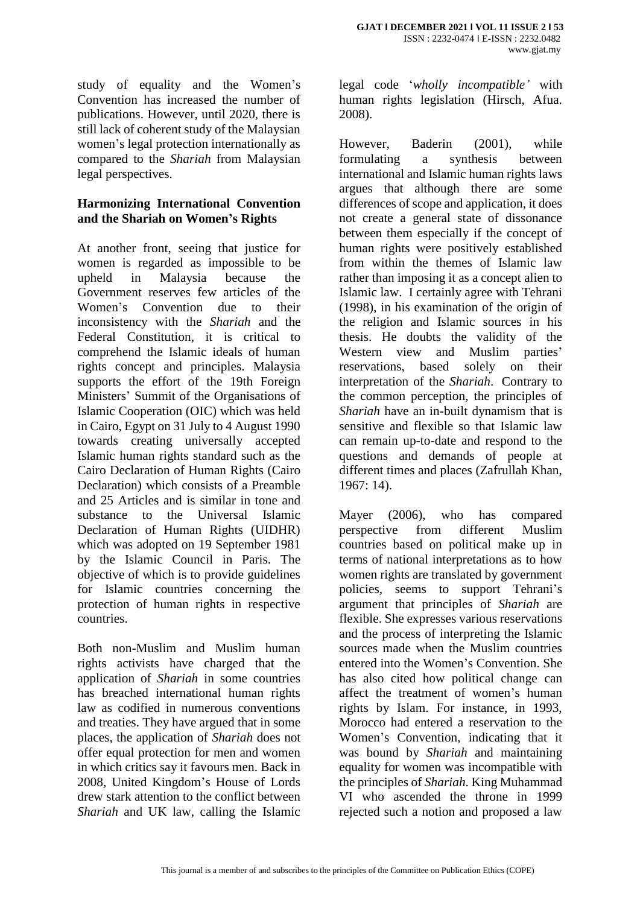study of equality and the Women's Convention has increased the number of publications. However, until 2020, there is still lack of coherent study of the Malaysian women's legal protection internationally as compared to the *Shariah* from Malaysian legal perspectives.

## **Harmonizing International Convention and the Shariah on Women's Rights**

At another front, seeing that justice for women is regarded as impossible to be upheld in Malaysia because the Government reserves few articles of the Women's Convention due to their inconsistency with the *Shariah* and the Federal Constitution, it is critical to comprehend the Islamic ideals of human rights concept and principles. Malaysia supports the effort of the 19th Foreign Ministers' Summit of the Organisations of Islamic Cooperation (OIC) which was held in Cairo, Egypt on 31 July to 4 August 1990 towards creating universally accepted Islamic human rights standard such as the Cairo Declaration of Human Rights (Cairo Declaration) which consists of a Preamble and 25 Articles and is similar in tone and substance to the Universal Islamic Declaration of Human Rights (UIDHR) which was adopted on 19 September 1981 by the Islamic Council in Paris. The objective of which is to provide guidelines for Islamic countries concerning the protection of human rights in respective countries.

Both non-Muslim and Muslim human rights activists have charged that the application of *Shariah* in some countries has breached international human rights law as codified in numerous conventions and treaties. They have argued that in some places, the application of *Shariah* does not offer equal protection for men and women in which critics say it favours men. Back in 2008, United Kingdom's House of Lords drew stark attention to the conflict between *Shariah* and UK law, calling the Islamic

legal code '*wholly incompatible'* with human rights legislation (Hirsch, Afua. 2008).

However, Baderin (2001), while formulating a synthesis between international and Islamic human rights laws argues that although there are some differences of scope and application, it does not create a general state of dissonance between them especially if the concept of human rights were positively established from within the themes of Islamic law rather than imposing it as a concept alien to Islamic law. I certainly agree with Tehrani (1998), in his examination of the origin of the religion and Islamic sources in his thesis. He doubts the validity of the Western view and Muslim parties' reservations, based solely on their interpretation of the *Shariah*. Contrary to the common perception, the principles of *Shariah* have an in-built dynamism that is sensitive and flexible so that Islamic law can remain up-to-date and respond to the questions and demands of people at different times and places (Zafrullah Khan, 1967: 14).

Mayer (2006), who has compared perspective from different Muslim countries based on political make up in terms of national interpretations as to how women rights are translated by government policies, seems to support Tehrani's argument that principles of *Shariah* are flexible. She expresses various reservations and the process of interpreting the Islamic sources made when the Muslim countries entered into the Women's Convention. She has also cited how political change can affect the treatment of women's human rights by Islam. For instance, in 1993, Morocco had entered a reservation to the Women's Convention, indicating that it was bound by *Shariah* and maintaining equality for women was incompatible with the principles of *Shariah*. King Muhammad VI who ascended the throne in 1999 rejected such a notion and proposed a law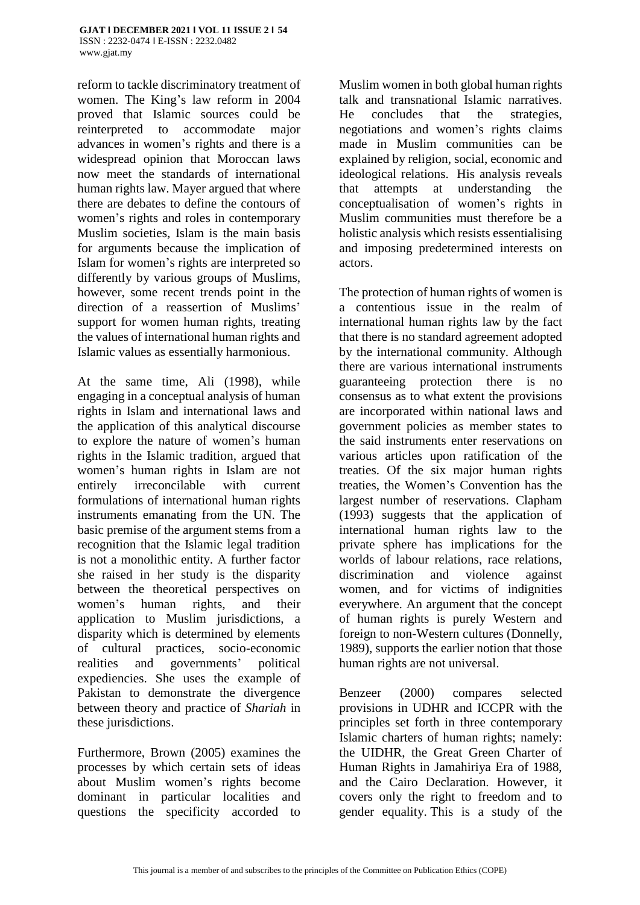reform to tackle discriminatory treatment of women. The King's law reform in 2004 proved that Islamic sources could be reinterpreted to accommodate major advances in women's rights and there is a widespread opinion that Moroccan laws now meet the standards of international human rights law. Mayer argued that where there are debates to define the contours of women's rights and roles in contemporary Muslim societies, Islam is the main basis for arguments because the implication of Islam for women's rights are interpreted so differently by various groups of Muslims, however, some recent trends point in the direction of a reassertion of Muslims' support for women human rights, treating the values of international human rights and Islamic values as essentially harmonious.

At the same time, Ali (1998), while engaging in a conceptual analysis of human rights in Islam and international laws and the application of this analytical discourse to explore the nature of women's human rights in the Islamic tradition, argued that women's human rights in Islam are not entirely irreconcilable with current formulations of international human rights instruments emanating from the UN. The basic premise of the argument stems from a recognition that the Islamic legal tradition is not a monolithic entity. A further factor she raised in her study is the disparity between the theoretical perspectives on women's human rights, and their application to Muslim jurisdictions, a disparity which is determined by elements of cultural practices, socio-economic realities and governments' political expediencies. She uses the example of Pakistan to demonstrate the divergence between theory and practice of *Shariah* in these jurisdictions.

Furthermore, Brown (2005) examines the processes by which certain sets of ideas about Muslim women's rights become dominant in particular localities and questions the specificity accorded to

Muslim women in both global human rights talk and transnational Islamic narratives. He concludes that the strategies, negotiations and women's rights claims made in Muslim communities can be explained by religion, social, economic and ideological relations. His analysis reveals that attempts at understanding the conceptualisation of women's rights in Muslim communities must therefore be a holistic analysis which resists essentialising and imposing predetermined interests on actors.

The protection of human rights of women is a contentious issue in the realm of international human rights law by the fact that there is no standard agreement adopted by the international community. Although there are various international instruments guaranteeing protection there is no consensus as to what extent the provisions are incorporated within national laws and government policies as member states to the said instruments enter reservations on various articles upon ratification of the treaties. Of the six major human rights treaties, the Women's Convention has the largest number of reservations. Clapham (1993) suggests that the application of international human rights law to the private sphere has implications for the worlds of labour relations, race relations, discrimination and violence against women, and for victims of indignities everywhere. An argument that the concept of human rights is purely Western and foreign to non-Western cultures (Donnelly, 1989), supports the earlier notion that those human rights are not universal.

Benzeer (2000) compares selected provisions in UDHR and ICCPR with the principles set forth in three contemporary Islamic charters of human rights; namely: the UIDHR, the Great Green Charter of Human Rights in Jamahiriya Era of 1988, and the Cairo Declaration. However, it covers only the right to freedom and to gender equality. This is a study of the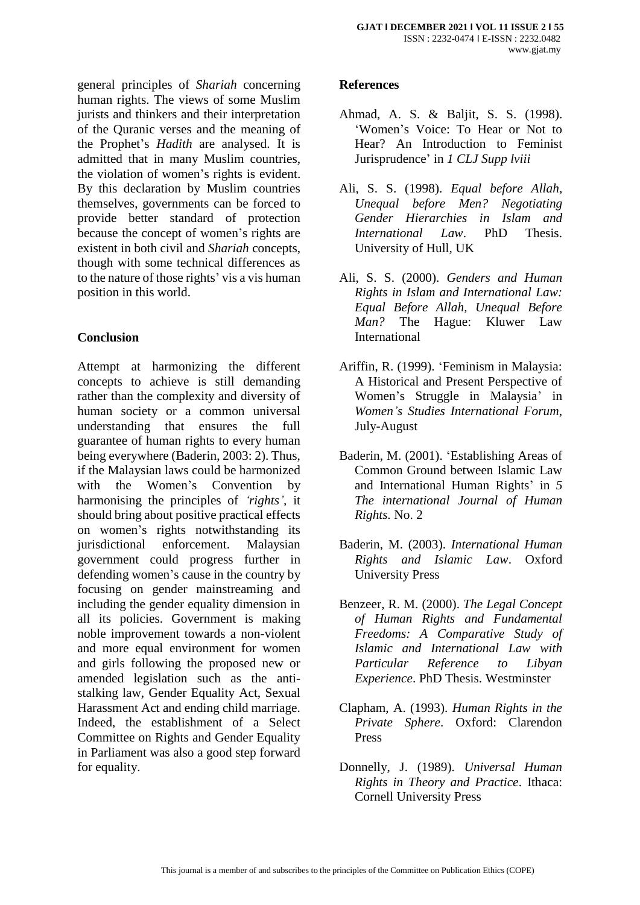general principles of *Shariah* concerning human rights. The views of some Muslim jurists and thinkers and their interpretation of the Quranic verses and the meaning of the Prophet's *Hadith* are analysed. It is admitted that in many Muslim countries, the violation of women's rights is evident. By this declaration by Muslim countries themselves, governments can be forced to provide better standard of protection because the concept of women's rights are existent in both civil and *Shariah* concepts, though with some technical differences as to the nature of those rights' vis a vis human position in this world.

# **Conclusion**

Attempt at harmonizing the different concepts to achieve is still demanding rather than the complexity and diversity of human society or a common universal understanding that ensures the full guarantee of human rights to every human being everywhere (Baderin, 2003: 2). Thus, if the Malaysian laws could be harmonized with the Women's Convention by harmonising the principles of *'rights',* it should bring about positive practical effects on women's rights notwithstanding its jurisdictional enforcement. Malaysian government could progress further in defending women's cause in the country by focusing on gender mainstreaming and including the gender equality dimension in all its policies. Government is making noble improvement towards a non-violent and more equal environment for women and girls following the proposed new or amended legislation such as the antistalking law, Gender Equality Act, Sexual Harassment Act and ending child marriage. Indeed, the establishment of a Select Committee on Rights and Gender Equality in Parliament was also a good step forward for equality.

## **References**

- Ahmad, A. S. & Baljit, S. S. (1998). 'Women's Voice: To Hear or Not to Hear? An Introduction to Feminist Jurisprudence' in *1 CLJ Supp lviii*
- Ali, S. S. (1998). *Equal before Allah, Unequal before Men? Negotiating Gender Hierarchies in Islam and International Law*. PhD Thesis. University of Hull, UK
- Ali, S. S. (2000). *Genders and Human Rights in Islam and International Law: Equal Before Allah, Unequal Before Man?* The Hague: Kluwer Law International
- Ariffin, R. (1999). 'Feminism in Malaysia: A Historical and Present Perspective of Women's Struggle in Malaysia' in *Women's Studies International Forum*, July-August
- Baderin, M. (2001). 'Establishing Areas of Common Ground between Islamic Law and International Human Rights' in *5 The international Journal of Human Rights.* No. 2
- Baderin, M. (2003). *International Human Rights and Islamic Law*. Oxford University Press
- Benzeer, R. M. (2000). *The Legal Concept of Human Rights and Fundamental Freedoms: A Comparative Study of Islamic and International Law with Particular Reference to Libyan Experience*. PhD Thesis. Westminster
- Clapham, A. (1993). *Human Rights in the Private Sphere*. Oxford: Clarendon Press
- Donnelly, J. (1989). *Universal Human Rights in Theory and Practice*. Ithaca: Cornell University Press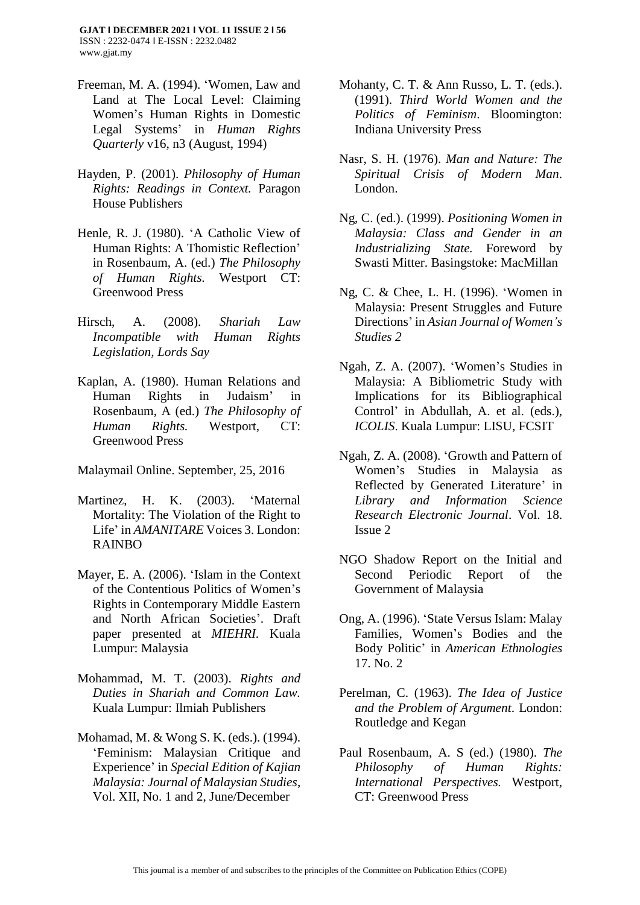- Freeman, M. A. (1994). 'Women, Law and Land at The Local Level: Claiming Women's Human Rights in Domestic Legal Systems' in *Human Rights Quarterly* v16, n3 (August, 1994)
- Hayden, P. (2001). *Philosophy of Human Rights: Readings in Context.* Paragon House Publishers
- Henle, R. J. (1980). 'A Catholic View of Human Rights: A Thomistic Reflection' in Rosenbaum, A. (ed.) *The Philosophy of Human Rights.* Westport CT: Greenwood Press
- Hirsch, A. (2008). *Shariah Law Incompatible with Human Rights Legislation, Lords Say*
- Kaplan, A. (1980). Human Relations and Human Rights in Judaism' in Rosenbaum, A (ed.) *The Philosophy of Human Rights.* Westport, CT: Greenwood Press

Malaymail Online. September, 25, 2016

- Martinez, H. K. (2003). 'Maternal Mortality: The Violation of the Right to Life' in *AMANITARE* Voices 3. London: RAINBO
- Mayer, E. A. (2006). 'Islam in the Context of the Contentious Politics of Women's Rights in Contemporary Middle Eastern and North African Societies'. Draft paper presented at *MIEHRI.* Kuala Lumpur: Malaysia
- Mohammad, M. T. (2003). *Rights and Duties in Shariah and Common Law.*  Kuala Lumpur: Ilmiah Publishers
- Mohamad, M. & Wong S. K. (eds.). (1994). 'Feminism: Malaysian Critique and Experience' in *Special Edition of Kajian Malaysia: Journal of Malaysian Studies*, Vol. XII, No. 1 and 2, June/December
- Mohanty, C. T. & Ann Russo, L. T. (eds.). (1991). *Third World Women and the Politics of Feminism*. Bloomington: Indiana University Press
- Nasr, S. H. (1976). *Man and Nature: The Spiritual Crisis of Modern Man*. London.
- Ng, C. (ed.). (1999). *Positioning Women in Malaysia: Class and Gender in an Industrializing State.* Foreword by Swasti Mitter. Basingstoke: MacMillan
- Ng, C. & Chee, L. H. (1996). 'Women in Malaysia: Present Struggles and Future Directions' in *Asian Journal of Women's Studies 2*
- Ngah, Z. A. (2007). 'Women's Studies in Malaysia: A Bibliometric Study with Implications for its Bibliographical Control' in Abdullah, A. et al. (eds.), *ICOLIS*. Kuala Lumpur: LISU, FCSIT
- Ngah, Z. A. (2008). 'Growth and Pattern of Women's Studies in Malaysia as Reflected by Generated Literature' in *Library and Information Science Research Electronic Journal*. Vol. 18. Issue 2
- NGO Shadow Report on the Initial and Second Periodic Report of the Government of Malaysia
- Ong, A. (1996). 'State Versus Islam: Malay Families, Women's Bodies and the Body Politic' in *American Ethnologies* 17. No. 2
- Perelman, C. (1963). *The Idea of Justice and the Problem of Argument*. London: Routledge and Kegan
- Paul Rosenbaum, A. S (ed.) (1980). *The Philosophy of Human Rights: International Perspectives.* Westport, CT: Greenwood Press